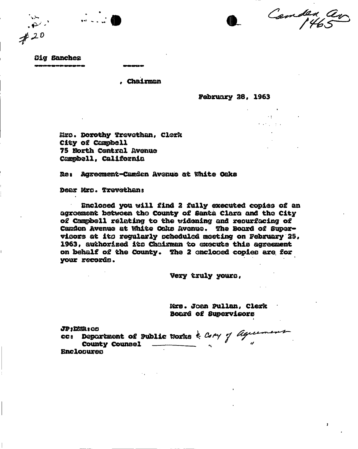Camden av

**Oig Sanchez** 

*J-O* 

 $\mathbb{R}^2$ 

**<sup>9</sup> Chairman** 

**February 28, 1963** 

 $\mathcal{L}^{\mathcal{L}}$  and  $\mathcal{L}^{\mathcal{L}}$  and  $\mathcal{L}^{\mathcal{L}}$ 

**fidiro. Dorothy Trovothan, Clerk City of Can&bell 75 Storth Central Avenue Campbell, California** 

**Res Agreeraent-C&rc&en Avenue at ftfaite Oaks** 

**Dear Mro. ffrevethans** 

**Enclosed you will find 2 fully executed copied of an agreement between the county of Santa Clara and the City of Campbell relating to the widening and resurfacing of**  Camden Avenue at White Oaks Avenue. The Board of Super**visors at ito regularly scheduled meeting on February 25, 1963, authorised ito Chairman to execute this agreement on behalf of the County. %he 2 enclosed copies are, for your records.** 

**Very truly youra,** 

**Mrs. Joan pullan, Clerk Board of Supervisors** 

**JPjDMRgGG cco Department of Public Works County Counsel Enclooureo**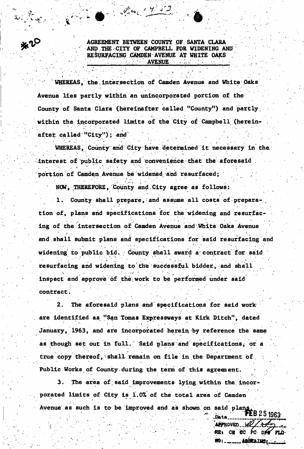**EVALUATION COUNTY OF SANTA CLARA AGREEMENT BETWEEN COUNTY OF SANTA CLARA ' AND ,THE . CITY OF CAMPBELL FOR WIDENING AND**  RESURFACING CAMDEN AVENUE AT WHITE OAKS **• '• •• • . •/ -.,•' V : • .AVENUE. • - ; . ' • • .** 

**WHEREAS, the.intersection of Camden Avenue and White Oaks Avenue lies partly within an unincorporated portion of the County o£ Santa Clara (hereinafter Called "County") and partly,**  within the incorporated limits of the City of Campbell (hereinafter called "City"); and

. \* • ... • . • • • . - . •

 $\mathbf{r} \cdot \mathbf{r} = \mathbf{r} \cdot \mathbf{r} + \mathbf{r} \cdot \mathbf{r} + \mathbf{r} \cdot \mathbf{r} + \mathbf{r} \cdot \mathbf{r} + \mathbf{r} \cdot \mathbf{r} + \mathbf{r} \cdot \mathbf{r} + \mathbf{r} \cdot \mathbf{r} + \mathbf{r} \cdot \mathbf{r} + \mathbf{r} \cdot \mathbf{r} + \mathbf{r} \cdot \mathbf{r} + \mathbf{r} \cdot \mathbf{r} + \mathbf{r} \cdot \mathbf{r} + \mathbf{r} \cdot \mathbf{r} + \mathbf{r} \cdot \math$ 

June 1953

. • . •<sup>1</sup>

**WHEREAS, County and City have determined it necessary in the. Interest of public safety and convenience that the aforesaid . portion of Camden Avenue be widened and resurfaced;** 

**NOW, THEREFORE, County and.City agree as follows:** 

1. County shall prepare, and assume all costs of prepara**tion of, plans arid specifications for the widening and resurfacing of the intersection of Camden Avenue and .White Oaks Avenue and shall submit plans and specifications for said resurfacing and**  widening to public bid. County shall award a contract for said **resurfacing and widening to** *the'***successful bidder,-and shall**  inspect and approve of the work to be performed under said **contract.** 

**2. The aforesaid plans and specifications for said work are identified as "San Tomas Expressways at Kirk Ditch<sup>11</sup> , dated January, 1963, and are incorporated herein by reference the same as though set out in full.' Said plans and'specifications^ or a**  true copy thereof, shall remain on file in the Department of *t*  **Public Works of County.during the term of this agreement.** 

 $\mathcal{N} = \{ \mathbf{v}_i \mid i=1,\ldots,n \}$  .  $\mathcal{N} = \{ \mathbf{v}_i \mid i=1,\ldots,n \}$  .  $\mathcal{N} = \{ \mathbf{v}_i \mid i=1,\ldots,n \}$ 

**3. The area of said improvements lying within the. incorporated limits of City is 1.0% of the total area of Camden Avenue as such is to be improved and as shown on said plans.** 

APPROVED VL **RE: CB CC PC DPT FLD MAARSTAINS: ARSTA MD** : .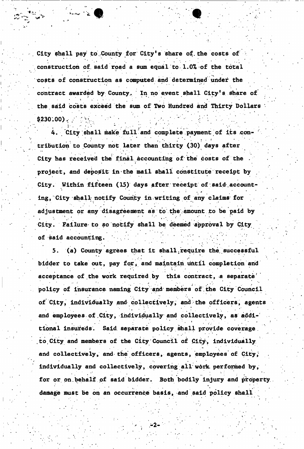**City shall pay to,County for City's share of.the costs of construction Of. said road a sum equal to 1.0% of the total costs of construction as computed and determined under the**  contract awarded by County. In no event shall City's share of **the said costs exceed the sum of Two Hundred and Thirty Dollars**   $$230.00$ .

**4. City shall make full and complete payment of its con> tribution to County not later than thirty (30) days after**  City has received the final accounting of the costs of the *t • •*  **project, and deposit in the mail shall constitute receipt by**  City. Within fifteen (15) days after receipt of said accounting, City shall notify County in writing of any claims for **adjustment or any disagreement as to the amount to be paid by**   $\mathcal{P}_\mathcal{P}$  .  $\mathcal{P}_\mathcal{P}$  is a result of  $\mathcal{P}_\mathcal{P}$  . In the set of  $\mathcal{P}_\mathcal{P}$  , we have the set of  $\mathcal{P}_\mathcal{P}$ **City. Failure- to so notify shall be deemed approval by City, of said accounting.** 

5. (a) County agrees that it shall require the successful bidder to take out, pay for, and maintain until completion and acceptance of the work required by this contract, a separate<sup>1</sup> **policy of insurance naming City and menibers of . the City Council of City, individually and collectively, and the officers, agents and employees of .City, individually and collectively, as addi** tional insureds. Said separate policy shall provide coverage to City and members of the City Council of City, individually and collectively, and the officers, agents, employees of City, individually and collectively, covering all work performed by, for or on behalf of said bidder. Both bodily injury and property. damage must be on an occurrence basis, and said policy shall

**damage must be on an occurrence basis, and said policy shall**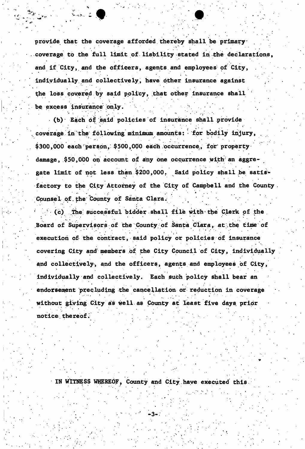**provide that the coverage afforded thereby shall be primary .coverage to the full limit of liability stated in the declarations, and if City,, and the officers, agents and employees** *of* **City, individually, and collectively, have other insurance against**  t to a state of the state of the state of the state of the state of the state of the state of the state of the **the loss covered by said pplicy, that other insurance shall be excess insurance' only.** 

**(b) Each of said policies of insurance shall provide**  coverage in the following minimum amounts: for bodily injury, \$300,000 each person, \$500,000 each occurrence, for property **damage, \$50,000 on account of any one occurrence with an aggregate limit of not less than \$200,000. Said policy shall be satisfactory to the City Attorney of the City of Campbell and the County Counsel of.the County of Santa Clara.**   *4 <b>4*  $\frac{1}{2}$   $\frac{1}{2}$   $\frac{1}{2}$   $\frac{1}{2}$   $\frac{1}{2}$   $\frac{1}{2}$   $\frac{1}{2}$ 

(c) The successful bidder shall file with the Clerk of the  **' (c) .The; successful bidder shall file with the Clerk of the Board of Supervisors of the County of Santa Clara, at\the time of execution of the contract, said policy or policies of insurance covering City and'members of the City Council of City , individually and collectively, and the officers, agents and employees of City, individually and collectively. Each such policy shall bear an endorsement precluding -the cancellation or reduction in coverage without giving City as well, as County at least five days prior**  notice thereof.

**IN WITNESS WHEREOF, County and City have executed this** 

**notice.thereofJ**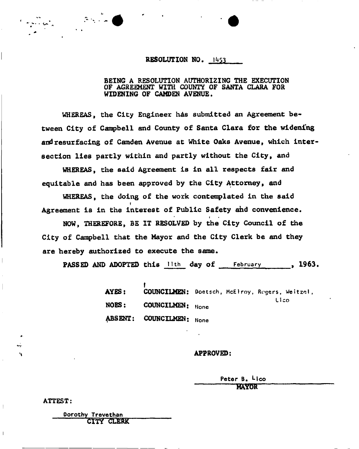## **RESOLUTION NO. 1453**

## **BEING A RESOLUTION AUTHORIZING THE EXECUTION OF AGREEMENT WITH COUNTY OF SANTA CLARA FOR WIDENING OF CAMDEN AVENUE,**

WHEREAS, the City Engineer has submitted an Agreement be**tween City of Campbell and County of Santa Clara for the widening and resurfacing of Camden Avenue at White Oaks Avenue, which intersection lies partly within and partly without the City, and** 

**WHEREAS, the said Agreement is in all respects fair and equitable and has been approved by the City Attorney, and** 

**WHEREAS, the doing of the work contemplated in the said**  r **Agreement is in the interest of Public Safety ahd convenience.**  i

**NOW, THEREFORE, BE IT RESOLVED by the City Council of the City of Campbell that the Mayor and the City Clerk be and they are hereby authorized to execute the same.** 

PASSED AND ADOPTED this lith day of February , 1963.

| AYES: COUNCILMEN: Doetsch, McElroy, Regers, Weitzel, |  |      |  |
|------------------------------------------------------|--|------|--|
| NOES: COUNCILMEN: None                               |  | Lico |  |
| ABSENT: COUNCILMEN: None                             |  |      |  |

## **APPROVED:**

Peter B. <sup>L</sup>ico **RSYOR** 

**ATTEST** 

Dorothy Trevethan CITY CLERK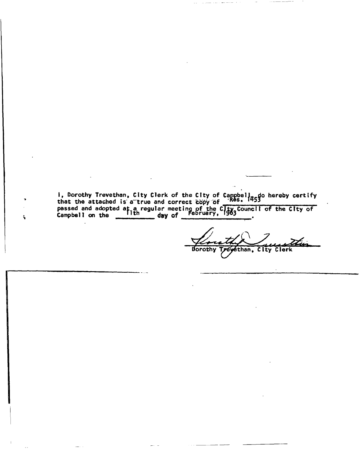I, Dorothy Trevethan, City Clerk of the City of Cam 1, Dorothy Trevethan, City Clerk of the City of Campbell, do hereby certify<br>that the attached is a true and correct copy of **contained** passed and adopted at a regular meeting of the  $\widetilde{GIty}$  Council  $\frac{1}{363}$  Campbell on the  $\frac{1}{1}$ th  $\frac{1}{369}$  day of February, 1963 I of the City of

ŝ,

Treyethan, City Clerk